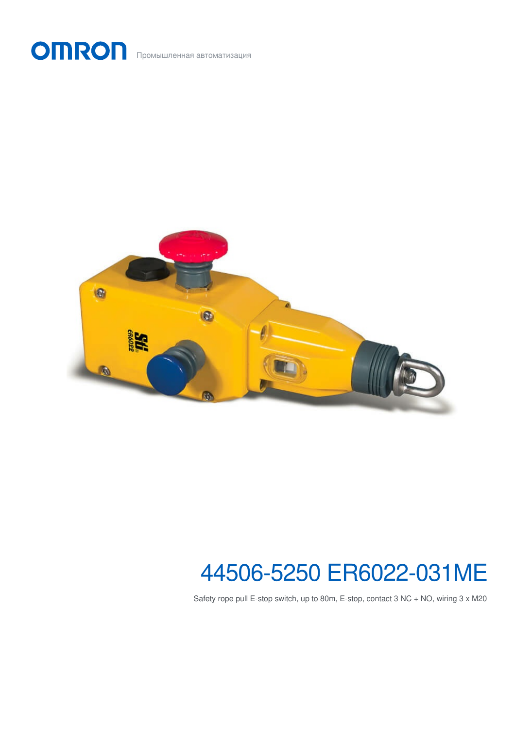



# 44506-5250 ER6022-031ME

Safety rope pull E-stop switch, up to 80m, E-stop, contact 3 NC + NO, wiring 3 x M20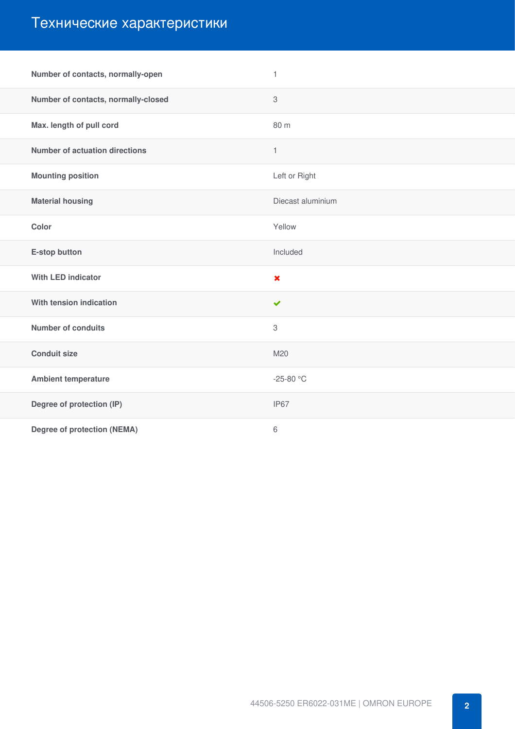# Технические характеристики

| Number of contacts, normally-open     | $\mathbf{1}$              |
|---------------------------------------|---------------------------|
| Number of contacts, normally-closed   | $\ensuremath{\mathsf{3}}$ |
| Max. length of pull cord              | 80 m                      |
| <b>Number of actuation directions</b> | $\mathbf{1}$              |
| <b>Mounting position</b>              | Left or Right             |
| <b>Material housing</b>               | Diecast aluminium         |
| Color                                 | Yellow                    |
| E-stop button                         | Included                  |
| <b>With LED indicator</b>             | $\pmb{\times}$            |
| With tension indication               | $\checkmark$              |
| <b>Number of conduits</b>             | 3                         |
| <b>Conduit size</b>                   | M20                       |
| <b>Ambient temperature</b>            | -25-80 °C                 |
|                                       |                           |
| Degree of protection (IP)             | IP67                      |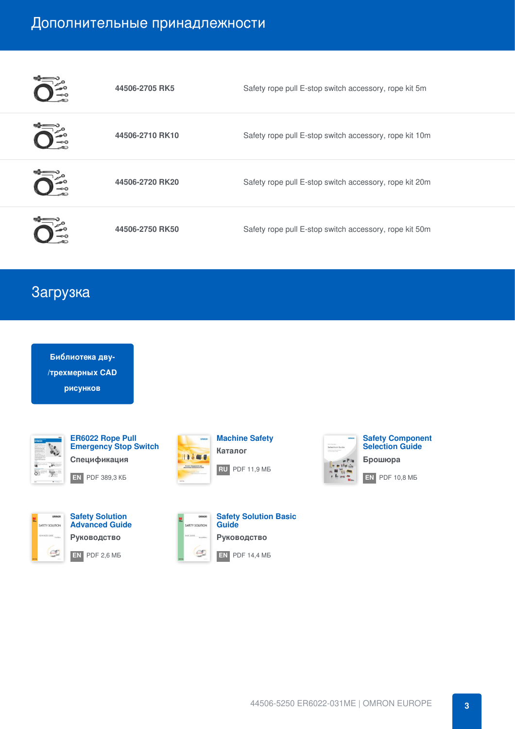#### Дополнительные принадлежности

| 44506-2705 RK5  | Safety rope pull E-stop switch accessory, rope kit 5m  |
|-----------------|--------------------------------------------------------|
| 44506-2710 RK10 | Safety rope pull E-stop switch accessory, rope kit 10m |
| 44506-2720 RK20 | Safety rope pull E-stop switch accessory, rope kit 20m |
| 44506-2750 RK50 | Safety rope pull E-stop switch accessory, rope kit 50m |

### Загрузка

i.

**Библиотека дву- [/трехмерных](https://download.ia.omron.com/download/page/ER6022/OEE) CAD рисунков**



**ER6022 Rope Pull [Emergency](https://industrial.omron.ru/ru/downloads/document.309310-std.lang.all) Stop Switch Спецификация [EN](https://assets.omron.eu/downloads/datasheet/en/v7/e54e_er6022_rope_pull_emergency_stop_switch_datasheet_en.pdf)** PDF 389,3 КБ



**Safety Solution [Advanced](https://industrial.omron.ru/ru/downloads/document.712083-std.lang.all) Guide Руководство [EN](https://assets.omron.eu/downloads/catalogue/en/v1/y221_safety_solution_advanced_guide_en.pdf)** PDF 2,6 МБ



**[Machine](https://industrial.omron.ru/ru/downloads/document.319017-ru) Safety Каталог [RU](https://assets.omron.eu/downloads/catalogue/ru/v7/y207_machine_safety_catalogue_ru.pdf)** PDF 11,9 МБ



**[EN](https://assets.omron.eu/downloads/catalogue/en/v2/y107_safety_solution_basic_guide_en.pdf)** PDF 14,4 МБ



**Safety [Component](https://industrial.omron.ru/ru/downloads/document.704970-std.lang.all) Selection Guide**

**Брошюра**

**[EN](https://assets.omron.eu/downloads/brochure/en/v4/y228_safety_component_selection_guide_brochure_en.pdf)** PDF 10,8 МБ